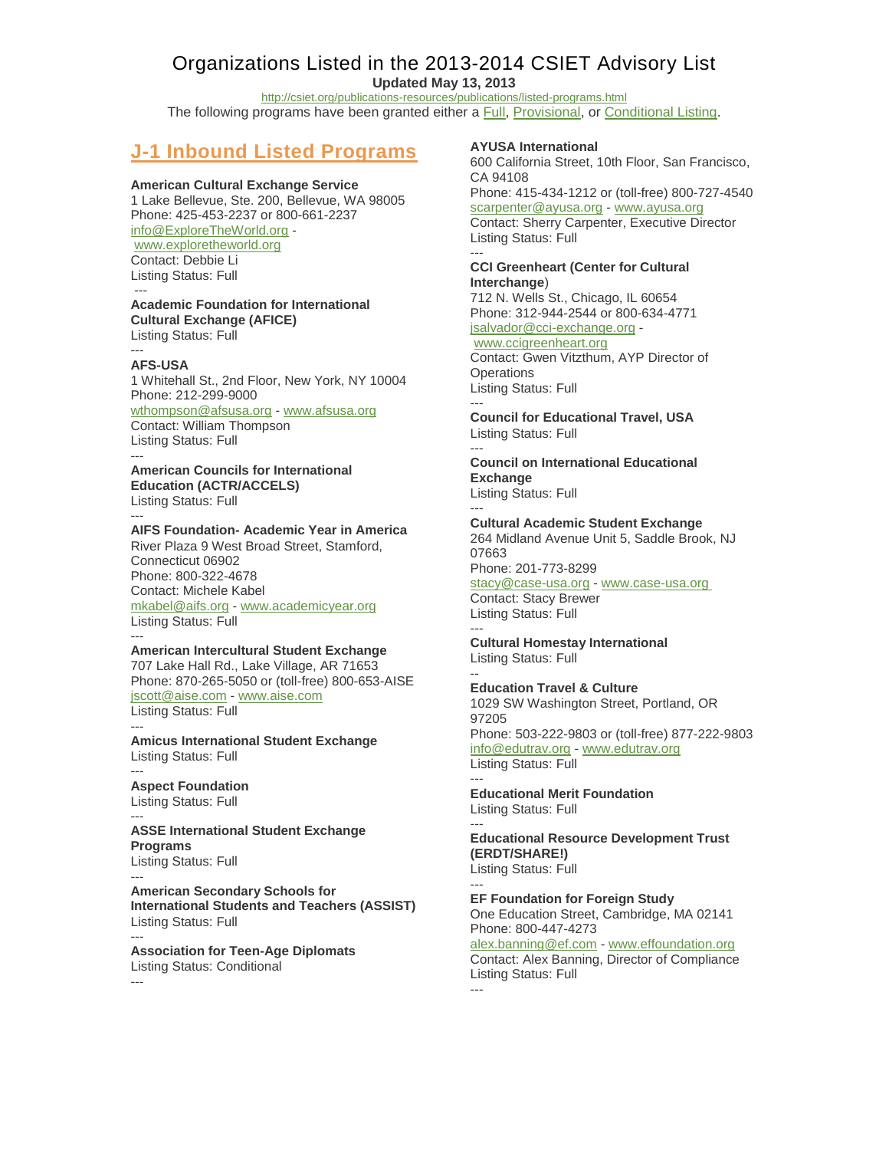# Organizations Listed in the 2013-2014 CSIET Advisory List

**Updated May 13, 2013**

<http://csiet.org/publications-resources/publications/listed-programs.html> The following programs have been granted either a **Full, Provisional**, or [Conditional Listing.](http://www.csiet.org/publications-resources/publications/listings.html)

# **J-1 Inbound Listed Programs**

## **American Cultural Exchange Service**

1 Lake Bellevue, Ste. 200, Bellevue, WA 98005 Phone: 425-453-2237 or 800-661-2237 [info@ExploreTheWorld.org](mailto:info@ExploreTheWorld.org) [www.exploretheworld.org](http://www.exploretheworld.org/) Contact: Debbie Li Listing Status: Full

---

## **Academic Foundation for International Cultural Exchange (AFICE)**

Listing Status: Full ---

## **AFS-USA**

1 Whitehall St., 2nd Floor, New York, NY 10004 Phone: 212-299-9000 [wthompson@afsusa.org](mailto:wthompson@afsusa.org) - [www.afsusa.org](http://www.afsusa.org/) Contact: William Thompson

Listing Status: Full ---

#### **American Councils for International Education (ACTR/ACCELS)** Listing Status: Full

---

**AIFS Foundation- Academic Year in America** River Plaza 9 West Broad Street, Stamford, Connecticut 06902 Phone: 800-322-4678 Contact: Michele Kabel [mkabel@aifs.org](mailto:mkabel@aifs.org) - [www.academicyear.org](http://www.academicyear.org/) Listing Status: Full ---

### **American Intercultural Student Exchange**

707 Lake Hall Rd., Lake Village, AR 71653 Phone: 870-265-5050 or (toll-free) 800-653-AISE [jscott@aise.com](mailto:jscott@aise.com) - [www.aise.com](http://www.aise.com/) Listing Status: Full

--- **Amicus International Student Exchange** Listing Status: Full

--- **Aspect Foundation** Listing Status: Full

### --- **ASSE International Student Exchange Programs**

Listing Status: Full ---

**American Secondary Schools for International Students and Teachers (ASSIST)** Listing Status: Full ---

**Association for Teen-Age Diplomats** Listing Status: Conditional ---

## **AYUSA International**

600 California Street, 10th Floor, San Francisco, CA 94108

Phone: 415-434-1212 or (toll-free) 800-727-4540 [scarpenter@ayusa.org](mailto:scarpenter@ayusa.org) - [www.ayusa.org](http://www.ayusa.org/) Contact: Sherry Carpenter, Executive Director Listing Status: Full

#### --- **CCI Greenheart (Center for Cultural Interchange**)

712 N. Wells St., Chicago, IL 60654 Phone: 312-944-2544 or 800-634-4771 [jsalvador@cci-exchange.org](mailto:jsalvador@cci-exchange.org) [www.ccigreenheart.org](http://www.ccigreenhear.org/)

Contact: Gwen Vitzthum, AYP Director of **Operations** Listing Status: Full ---

**Council for Educational Travel, USA** Listing Status: Full

### --- **Council on International Educational Exchange** Listing Status: Full

---

**Cultural Academic Student Exchange** 264 Midland Avenue Unit 5, Saddle Brook, NJ 07663

Phone: 201-773-8299

### [stacy@case-usa.org](mailto:stacy@case-usa.org) - [www.case-usa.org](http://www.case-usa.org/) Contact: Stacy Brewer Listing Status: Full

--- **Cultural Homestay International** Listing Status: Full

-- **Education Travel & Culture** 1029 SW Washington Street, Portland, OR 97205 Phone: 503-222-9803 or (toll-free) 877-222-9803 [info@edutrav.org](mailto:info@edutrav.org) - [www.edutrav.org](http://www.edutrav.org/) Listing Status: Full

### --- **Educational Merit Foundation** Listing Status: Full

--- **Educational Resource Development Trust (ERDT/SHARE!)** Listing Status: Full

#### --- **EF Foundation for Foreign Study** One Education Street, Cambridge, MA 02141 Phone: 800-447-4273

[alex.banning@ef.com](mailto:alex.banning@ef.com) - [www.effoundation.org](http://www.effoundation.org/) Contact: Alex Banning, Director of Compliance Listing Status: Full ---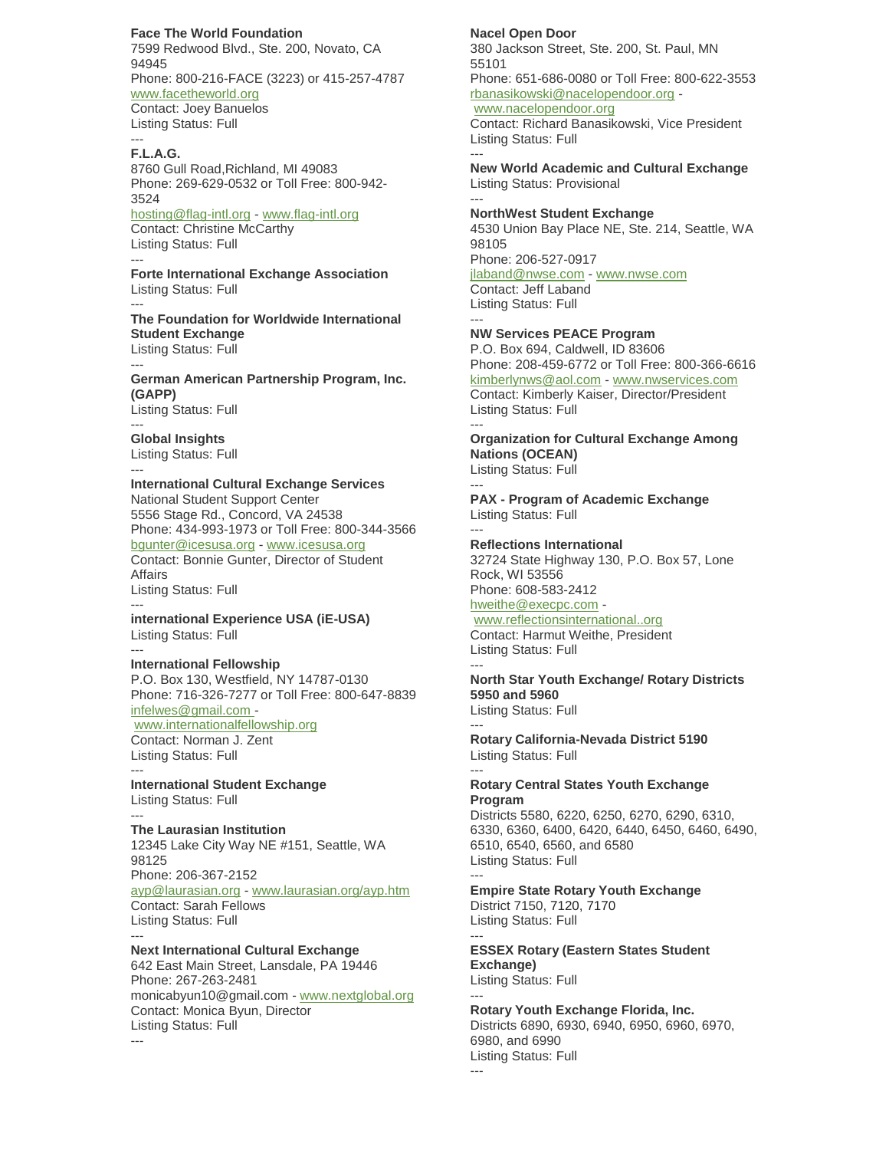**Face The World Foundation**

7599 Redwood Blvd., Ste. 200, Novato, CA 94945 Phone: 800-216-FACE (3223) or 415-257-4787 [www.facetheworld.org](http://www.facetheworld.org/) Contact: Joey Banuelos Listing Status: Full

#### --- **F.L.A.G.**

8760 Gull Road,Richland, MI 49083 Phone: 269-629-0532 or Toll Free: 800-942- 3524

[hosting@flag-intl.org](mailto:hosting@flag-intl.org) - [www.flag-intl.org](http://www.flag-intl.org/) Contact: Christine McCarthy Listing Status: Full ---

**Forte International Exchange Association** Listing Status: Full

--- **The Foundation for Worldwide International Student Exchange** Listing Status: Full

--- **German American Partnership Program, Inc. (GAPP)**

Listing Status: Full ---

**Global Insights** Listing Status: Full ---

## **International Cultural Exchange Services**

National Student Support Center 5556 Stage Rd., Concord, VA 24538 Phone: 434-993-1973 or Toll Free: 800-344-3566 [bgunter@icesusa.org](mailto:bgunter@icesusa.org) - [www.icesusa.org](http://www.icesusa.org/) Contact: Bonnie Gunter, Director of Student Affairs Listing Status: Full

-- **international Experience USA (iE-USA)** Listing Status: Full

### **International Fellowship**

---

P.O. Box 130, Westfield, NY 14787-0130 Phone: 716-326-7277 or Toll Free: 800-647-8839 [infelwes@gmail.com -](mailto:infelwes@gmail.com)

[www.internationalfellowship.org](http://www.internationalfellowship.org/)

Contact: Norman J. Zent Listing Status: Full ---

**International Student Exchange** Listing Status: Full

#### --- **The Laurasian Institution**

12345 Lake City Way NE #151, Seattle, WA 98125 Phone: 206-367-2152 [ayp@laurasian.org](mailto:ayp@laurasian.org) - [www.laurasian.org/ayp.htm](http://www.laurasian.org/ayp.htm) Contact: Sarah Fellows Listing Status: Full

--- **Next International Cultural Exchange**

642 East Main Street, Lansdale, PA 19446 Phone: 267-263-2481 monicabyun10@gmail.com - [www.nextglobal.org](http://www.nextglobal.org/) Contact: Monica Byun, Director Listing Status: Full ---

## **Nacel Open Door**

380 Jackson Street, Ste. 200, St. Paul, MN 55101 Phone: 651-686-0080 or Toll Free: 800-622-3553 [rbanasikowski@nacelopendoor.org](mailto:rbanasikowski@nacelopendoor.org) [www.nacelopendoor.org](http://www.nacelopendoor.org/) Contact: Richard Banasikowski, Vice President

Listing Status: Full ---

**New World Academic and Cultural Exchange** Listing Status: Provisional ---

**NorthWest Student Exchange** 4530 Union Bay Place NE, Ste. 214, Seattle, WA 98105 Phone: 206-527-0917 [jlaband@nwse.com](mailto:nwse@nwse.com) - [www.nwse.com](http://www.nwse.com/) Contact: Jeff Laband

Listing Status: Full ---

**NW Services PEACE Program**

P.O. Box 694, Caldwell, ID 83606 Phone: 208-459-6772 or Toll Free: 800-366-6616 [kimberlynws@aol.com](mailto:kimberlynws@aol.com) - [www.nwservices.com](http://www.nwservices.com/) Contact: Kimberly Kaiser, Director/President Listing Status: Full ---

**Organization for Cultural Exchange Among Nations (OCEAN)** Listing Status: Full

---

**PAX - Program of Academic Exchange** Listing Status: Full ---

**Reflections International** 32724 State Highway 130, P.O. Box 57, Lone Rock, WI 53556 Phone: 608-583-2412

[hweithe@execpc.com](mailto:hweithe@execpc.com) -

[www.reflectionsinternational..org](http://www.reflectionsinternational..org/) Contact: Harmut Weithe, President Listing Status: Full ---

**North Star Youth Exchange/ Rotary Districts 5950 and 5960** Listing Status: Full

--- **Rotary California-Nevada District 5190** Listing Status: Full

--- **Rotary Central States Youth Exchange Program**

Districts 5580, 6220, 6250, 6270, 6290, 6310, 6330, 6360, 6400, 6420, 6440, 6450, 6460, 6490, 6510, 6540, 6560, and 6580 Listing Status: Full

--- **Empire State Rotary Youth Exchange** District 7150, 7120, 7170 Listing Status: Full

--- **ESSEX Rotary (Eastern States Student Exchange)**

Listing Status: Full ---

**Rotary Youth Exchange Florida, Inc.** Districts 6890, 6930, 6940, 6950, 6960, 6970, 6980, and 6990 Listing Status: Full ---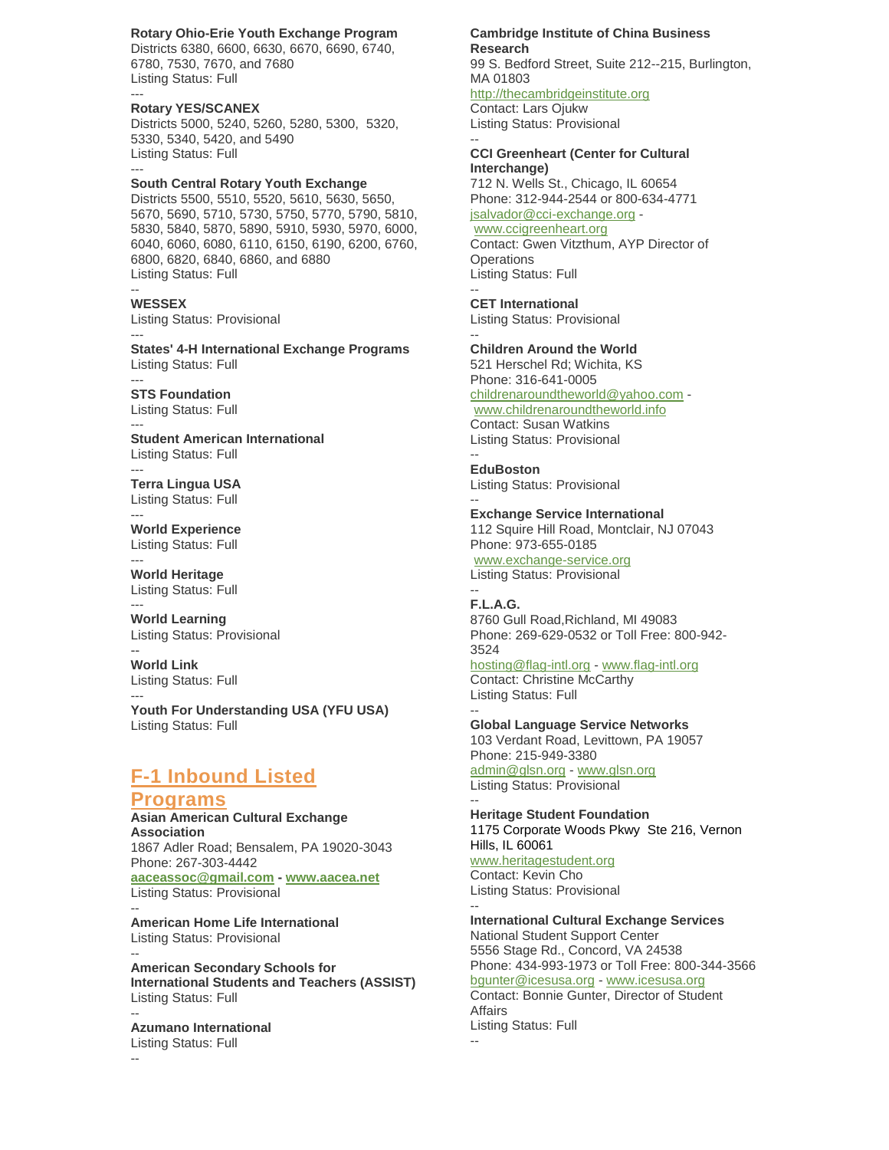### **Rotary Ohio-Erie Youth Exchange Program**

Districts 6380, 6600, 6630, 6670, 6690, 6740, 6780, 7530, 7670, and 7680 Listing Status: Full ---

**Rotary YES/SCANEX** Districts 5000, 5240, 5260, 5280, 5300, 5320, 5330, 5340, 5420, and 5490 Listing Status: Full

**South Central Rotary Youth Exchange** Districts 5500, 5510, 5520, 5610, 5630, 5650, 5670, 5690, 5710, 5730, 5750, 5770, 5790, 5810, 5830, 5840, 5870, 5890, 5910, 5930, 5970, 6000, 6040, 6060, 6080, 6110, 6150, 6190, 6200, 6760, 6800, 6820, 6840, 6860, and 6880 Listing Status: Full

**WESSEX** Listing Status: Provisional ---

**States' 4-H International Exchange Programs** Listing Status: Full

**STS Foundation** Listing Status: Full

---

--

---

---

---

**Student American International** Listing Status: Full

**Terra Lingua USA** Listing Status: Full

--- **World Experience** Listing Status: Full

--- **World Heritage** Listing Status: Full

--- **World Learning** Listing Status: Provisional

-- **World Link** Listing Status: Full

--- **Youth For Understanding USA (YFU USA)** Listing Status: Full

# **F-1 Inbound Listed**

## **Programs**

**Asian American Cultural Exchange Association** 1867 Adler Road; Bensalem, PA 19020-3043 Phone: 267-303-4442 **[aaceassoc@gmail.com](mailto:aaceassoc@gmail.com) - [www.aacea.net](http://www.aacea.net/)** Listing Status: Provisional

**American Home Life International** Listing Status: Provisional --

**American Secondary Schools for International Students and Teachers (ASSIST)** Listing Status: Full --

**Azumano International** Listing Status: Full

#### **Cambridge Institute of China Business Research**

99 S. Bedford Street, Suite 212--215, Burlington, MA 01803

[http://thecambridgeinstitute.org](http://thecambridgeinstitute.org/) Contact: Lars Ojukw

Listing Status: Provisional --

**CCI Greenheart (Center for Cultural Interchange)** 712 N. Wells St., Chicago, IL 60654 Phone: 312-944-2544 or 800-634-4771 [jsalvador@cci-exchange.org](mailto:jsalvador@cci-exchange.org) [www.ccigreenheart.org](http://www.ccigreenhear.org/) Contact: Gwen Vitzthum, AYP Director of **Operations** Listing Status: Full

-- **CET International** Listing Status: Provisional

-- **Children Around the World** 521 Herschel Rd; Wichita, KS Phone: 316-641-0005 [childrenaroundtheworld@yahoo.com](mailto:childrenaroundtheworld@yahoo.com) [www.childrenaroundtheworld.info](http://www.childrenaroundtheworld.info/) Contact: Susan Watkins Listing Status: Provisional

-- **EduBoston** Listing Status: Provisional

-- **Exchange Service International**

112 Squire Hill Road, Montclair, NJ 07043 Phone: 973-655-0185

[www.exchange-service.org](http://www.exchange-service.org/) Listing Status: Provisional

#### -- **F.L.A.G.**

8760 Gull Road,Richland, MI 49083 Phone: 269-629-0532 or Toll Free: 800-942- 3524

[hosting@flag-intl.org](mailto:hosting@flag-intl.org) - [www.flag-intl.org](http://www.flag-intl.org/) Contact: Christine McCarthy Listing Status: Full --

**Global Language Service Networks**

103 Verdant Road, Levittown, PA 19057 Phone: 215-949-3380 [admin@glsn.org](mailto:admin@glsn.org) - [www.glsn.org](http://www.glsn.org/) Listing Status: Provisional

-- **Heritage Student Foundation** 1175 Corporate Woods Pkwy Ste 216, Vernon Hills, IL 60061 [www.heritagestudent.org](http://www.heritagestudent.org/) Contact: Kevin Cho Listing Status: Provisional

-- **International Cultural Exchange Services** National Student Support Center 5556 Stage Rd., Concord, VA 24538 Phone: 434-993-1973 or Toll Free: 800-344-3566 [bgunter@icesusa.org](mailto:bgunter@icesusa.org) - [www.icesusa.org](http://www.icesusa.org/) Contact: Bonnie Gunter, Director of Student Affairs Listing Status: Full --

--

--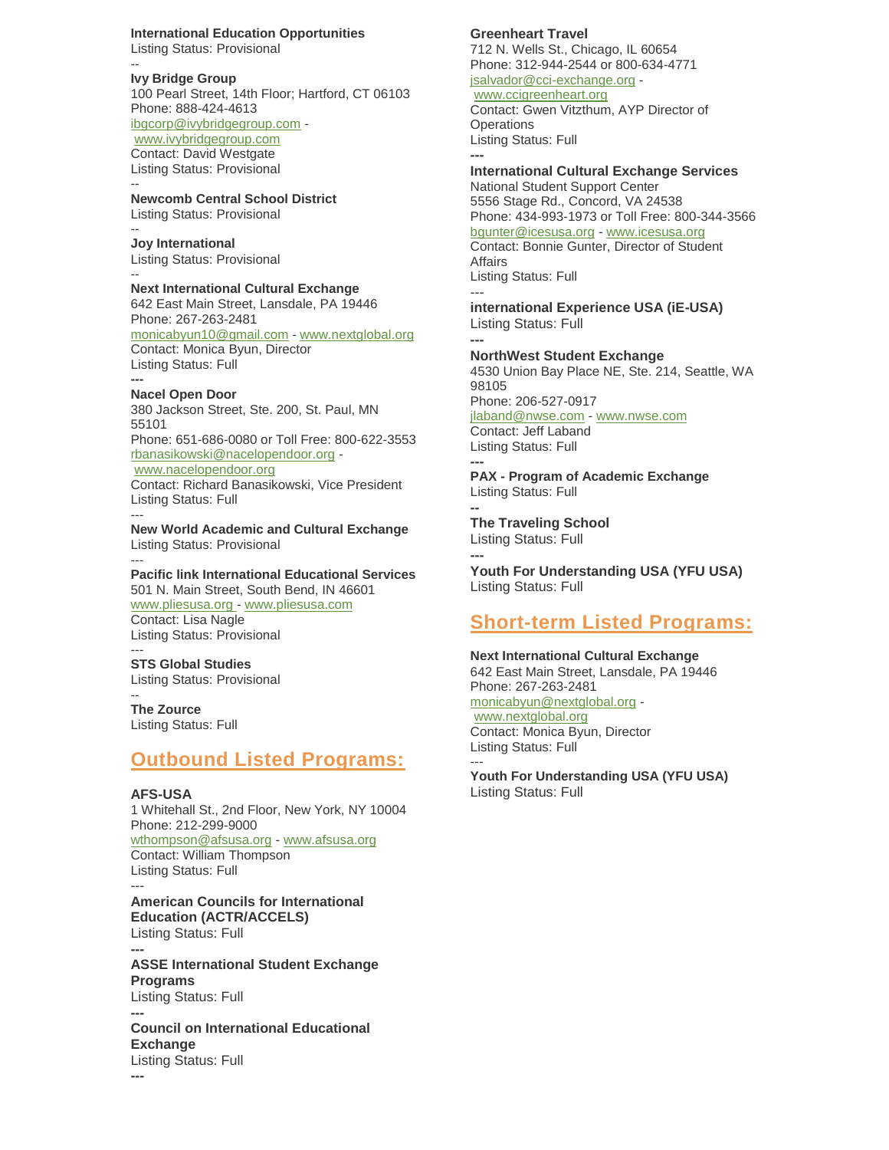**International Education Opportunities** Listing Status: Provisional

-- **Ivy Bridge Group** 100 Pearl Street, 14th Floor; Hartford, CT 06103 Phone: 888-424-4613 [ibgcorp@ivybridgegroup.com](mailto:ibgcorp@ivybridgegroup.com) [www.ivybridgegroup.com](http://www.ivybridgegroup.com/) Contact: David Westgate Listing Status: Provisional --

**Newcomb Central School District** Listing Status: Provisional --

**Joy International** Listing Status: Provisional --

**Next International Cultural Exchange** 642 East Main Street, Lansdale, PA 19446 Phone: 267-263-2481 monicabyun10@gmail.com - [www.nextglobal.org](http://www.nextglobal.org/) Contact: Monica Byun, Director Listing Status: Full **---**

### **Nacel Open Door**

380 Jackson Street, Ste. 200, St. Paul, MN 55101 Phone: 651-686-0080 or Toll Free: 800-622-3553 [rbanasikowski@nacelopendoor.org](mailto:rbanasikowski@nacelopendoor.org) [www.nacelopendoor.org](http://www.nacelopendoor.org/) Contact: Richard Banasikowski, Vice President Listing Status: Full

--- **New World Academic and Cultural Exchange** Listing Status: Provisional ---

**Pacific link International Educational Services** 501 N. Main Street, South Bend, IN 46601 [www.pliesusa.org -](http://www.pliesusa.org/) [www.pliesusa.com](http://www.pliesusa.com/) Contact: Lisa Nagle

Listing Status: Provisional ---

**STS Global Studies** Listing Status: Provisional

#### -- **The Zource**

Listing Status: Full

## **Outbound Listed Programs:**

### **AFS-USA**

1 Whitehall St., 2nd Floor, New York, NY 10004 Phone: 212-299-9000 [wthompson@afsusa.org](mailto:wthompson@afsusa.org) - [www.afsusa.org](http://www.afsusa.org/) Contact: William Thompson Listing Status: Full

--- **American Councils for International Education (ACTR/ACCELS)** Listing Status: Full

**--- ASSE International Student Exchange Programs** Listing Status: Full **---**

**Council on International Educational Exchange** Listing Status: Full **---**

## **Greenheart Travel**

712 N. Wells St., Chicago, IL 60654 Phone: 312-944-2544 or 800-634-4771 [jsalvador@cci-exchange.org](mailto:jsalvador@cci-exchange.org) -

[www.ccigreenheart.org](http://www.ccigreenhear.org/) Contact: Gwen Vitzthum, AYP Director of **Operations** Listing Status: Full **---**

**International Cultural Exchange Services**

National Student Support Center 5556 Stage Rd., Concord, VA 24538 Phone: 434-993-1973 or Toll Free: 800-344-3566 [bgunter@icesusa.org](mailto:bgunter@icesusa.org) - [www.icesusa.org](http://www.icesusa.org/)

Contact: Bonnie Gunter, Director of Student Affairs Listing Status: Full

-- **international Experience USA (iE-USA)** Listing Status: Full

**--- NorthWest Student Exchange** 4530 Union Bay Place NE, Ste. 214, Seattle, WA 98105 Phone: 206-527-0917 [jlaband@nwse.com](mailto:nwse@nwse.com) - [www.nwse.com](http://www.nwse.com/) Contact: Jeff Laband Listing Status: Full

**--- PAX - Program of Academic Exchange** Listing Status: Full

**-- The Traveling School** Listing Status: Full

**--- Youth For Understanding USA (YFU USA)** Listing Status: Full

# **Short-term Listed Programs:**

**Next International Cultural Exchange** 642 East Main Street, Lansdale, PA 19446 Phone: 267-263-2481 [monicabyun@nextglobal.org](mailto:monicabyun@nextglobal.org) [www.nextglobal.org](http://www.nextglobal.org/) Contact: Monica Byun, Director Listing Status: Full

--- **Youth For Understanding USA (YFU USA)** Listing Status: Full